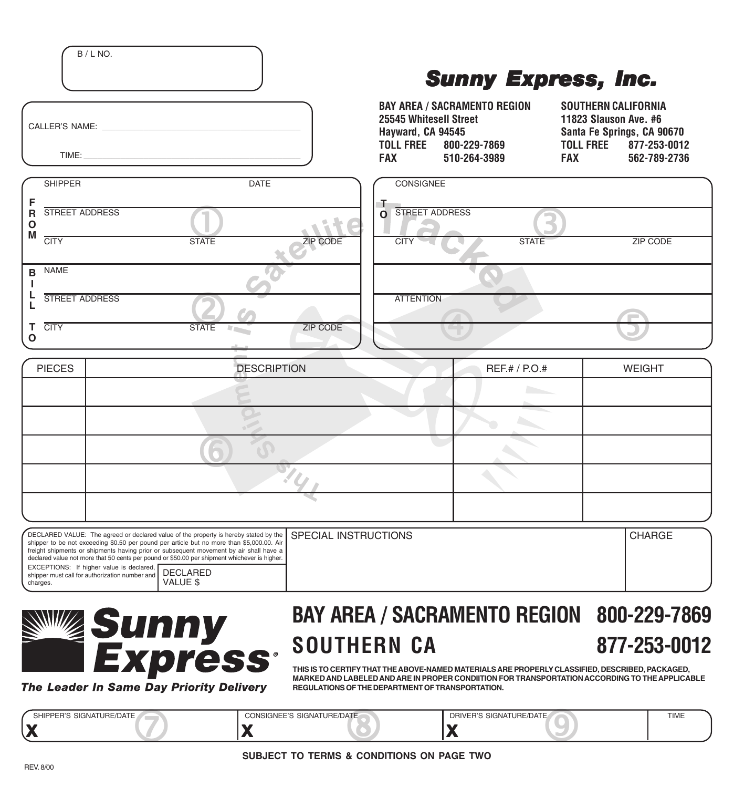|                                                                |                                                                                                                                                                                                                                                                                                                                                                                                     | Эйші баргсээ, шуі                                                             |                                                                     |                                                                                       |                                                            |
|----------------------------------------------------------------|-----------------------------------------------------------------------------------------------------------------------------------------------------------------------------------------------------------------------------------------------------------------------------------------------------------------------------------------------------------------------------------------------------|-------------------------------------------------------------------------------|---------------------------------------------------------------------|---------------------------------------------------------------------------------------|------------------------------------------------------------|
|                                                                | $\begin{tabular}{c} 22.14 & 22.14 & 22.14 & 22.14 & 22.14 & 22.14 & 22.14 & 22.14 & 22.14 & 22.14 & 22.14 & 22.14 & 22.14 & 22.14 & 22.14 & 22.14 & 22.14 & 22.14 & 22.14 & 22.14 & 22.14 & 22.14 & 22.14 & 22.14 & 22.14 & 22.14 & 22.14 & 22.14 & 22.14 & 22.14 & 2$                                                                                                                              | 25545 Whitesell Street<br>Hayward, CA 94545<br><b>TOLL FREE</b><br><b>FAX</b> | <b>BAY AREA / SACRAMENTO REGION</b><br>800-229-7869<br>510-264-3989 | <b>SOUTHERN CALIFORNIA</b><br>11823 Slauson Ave. #6<br><b>TOLL FREE</b><br><b>FAX</b> | Santa Fe Springs, CA 90670<br>877-253-0012<br>562-789-2736 |
| <b>SHIPPER</b>                                                 | <b>DATE</b>                                                                                                                                                                                                                                                                                                                                                                                         | CONSIGNEE                                                                     |                                                                     |                                                                                       |                                                            |
| <b>STREET ADDRESS</b><br>R<br>$\mathbf{o}$<br>M<br><b>CITY</b> | <b>STATE</b><br><b>ZIP CODE</b>                                                                                                                                                                                                                                                                                                                                                                     | T.<br><b>STREET ADDRESS</b><br>$\mathbf{o}$<br><b>CITY</b>                    | <b>STATE</b>                                                        |                                                                                       | <b>ZIP CODE</b>                                            |
| <b>NAME</b>                                                    |                                                                                                                                                                                                                                                                                                                                                                                                     |                                                                               |                                                                     |                                                                                       |                                                            |
| STREET ADDRESS<br><b>CITY</b>                                  | <b>STATE</b><br><b>ZIP CODE</b><br>$\label{eq:Riccati} \mathcal{M}(\mathcal{C}_{\text{max}},\mathcal{C}_{\text{max}})$                                                                                                                                                                                                                                                                              | <b>ATTENTION</b>                                                              |                                                                     |                                                                                       |                                                            |
| O                                                              |                                                                                                                                                                                                                                                                                                                                                                                                     |                                                                               |                                                                     |                                                                                       |                                                            |
| <b>PIECES</b>                                                  | <b>DESCRIPTION</b>                                                                                                                                                                                                                                                                                                                                                                                  |                                                                               | REF.# / P.O.#                                                       |                                                                                       | <b>WEIGHT</b>                                              |
|                                                                |                                                                                                                                                                                                                                                                                                                                                                                                     |                                                                               |                                                                     |                                                                                       |                                                            |
|                                                                |                                                                                                                                                                                                                                                                                                                                                                                                     |                                                                               |                                                                     |                                                                                       |                                                            |
|                                                                |                                                                                                                                                                                                                                                                                                                                                                                                     |                                                                               |                                                                     |                                                                                       |                                                            |
|                                                                |                                                                                                                                                                                                                                                                                                                                                                                                     |                                                                               |                                                                     |                                                                                       |                                                            |
|                                                                |                                                                                                                                                                                                                                                                                                                                                                                                     |                                                                               |                                                                     |                                                                                       |                                                            |
| EXCEPTIONS: If higher value is declared, <b>DEOLABED</b>       | SPECIAL INSTRUCTIONS<br>DECLARED VALUE: The agreed or declared value of the property is hereby stated by the<br>shipper to be not exceeding \$0.50 per pound per article but no more than \$5,000.00. Air<br>freight shipments or shipments having prior or subsequent movement by air shall have a<br>declared value not more that 50 cents per pound or \$50.00 per shipment whichever is higher. |                                                                               |                                                                     |                                                                                       | <b>CHARGE</b>                                              |



DECLARED VALUE \$

shipper must call for authorization number and

B / L NO.

## **BAY AREA / SACRAMENTO REGION 800-229-7869 SOUTHERN CA 877-253-0012**

*Sunny Express, Inc. Sunny Express, Inc.*

**THIS IS TO CERTIFY THAT THE ABOVE-NAMED MATERIALS ARE PROPERLY CLASSIFIED, DESCRIBED, PACKAGED, MARKED AND LABELED AND ARE IN PROPER CONDIITION FOR TRANSPORTATION ACCORDING TO THE APPLICABLE REGULATIONS OF THE DEPARTMENT OF TRANSPORTATION.**

**X X X** SHIPPER'S SIGNATURE/DATE CONSIGNEE'S SIGNATURE/DATE DRIVER'S SIGNATURE/DATE DRIVER'S SIGNATURE/DATE

charges.